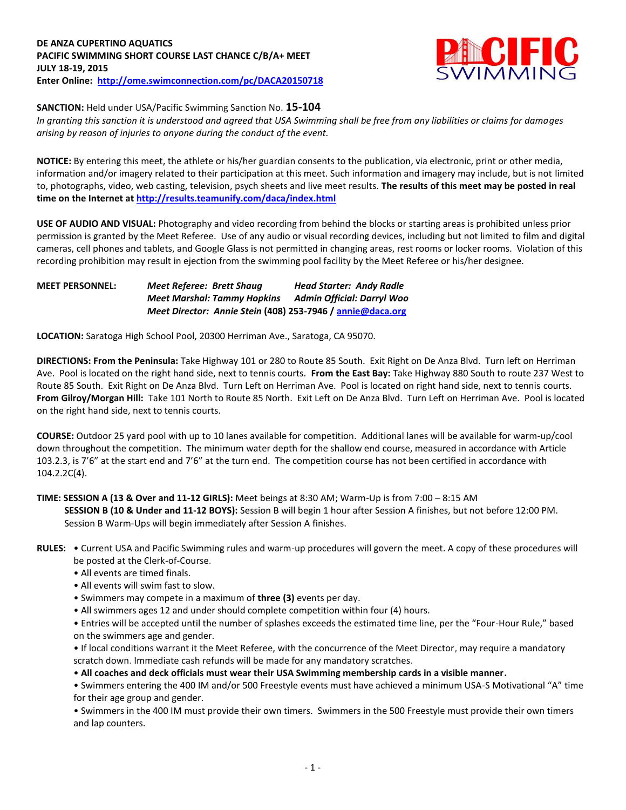## **DE ANZA CUPERTINO AQUATICS PACIFIC SWIMMING SHORT COURSE LAST CHANCE C/B/A+ MEET JULY 18-19, 2015 Enter Online: <http://ome.swimconnection.com/pc/DACA20150718>**



**SANCTION:** Held under USA/Pacific Swimming Sanction No. **15-104**

*In granting this sanction it is understood and agreed that USA Swimming shall be free from any liabilities or claims for damages arising by reason of injuries to anyone during the conduct of the event.*

**NOTICE:** By entering this meet, the athlete or his/her guardian consents to the publication, via electronic, print or other media, information and/or imagery related to their participation at this meet. Such information and imagery may include, but is not limited to, photographs, video, web casting, television, psych sheets and live meet results. **The results of this meet may be posted in real time on the Internet a[t http://results.teamunify.com/daca/index.html](http://results.teamunify.com/daca/index.html)**

**USE OF AUDIO AND VISUAL:** Photography and video recording from behind the blocks or starting areas is prohibited unless prior permission is granted by the Meet Referee. Use of any audio or visual recording devices, including but not limited to film and digital cameras, cell phones and tablets, and Google Glass is not permitted in changing areas, rest rooms or locker rooms. Violation of this recording prohibition may result in ejection from the swimming pool facility by the Meet Referee or his/her designee.

## **MEET PERSONNEL:** *Meet Referee: Brett Shaug Head Starter: Andy Radle Meet Marshal: Tammy Hopkins Admin Official: Darryl Woo Meet Director: Annie Stein* **(408) 253-7946 / [annie@daca.org](mailto:annie@daca.org)**

**LOCATION:** Saratoga High School Pool, 20300 Herriman Ave., Saratoga, CA 95070.

**DIRECTIONS: From the Peninsula:** Take Highway 101 or 280 to Route 85 South. Exit Right on De Anza Blvd. Turn left on Herriman Ave. Pool is located on the right hand side, next to tennis courts. **From the East Bay:** Take Highway 880 South to route 237 West to Route 85 South. Exit Right on De Anza Blvd. Turn Left on Herriman Ave. Pool is located on right hand side, next to tennis courts. **From Gilroy/Morgan Hill:** Take 101 North to Route 85 North. Exit Left on De Anza Blvd. Turn Left on Herriman Ave. Pool is located on the right hand side, next to tennis courts.

**COURSE:** Outdoor 25 yard pool with up to 10 lanes available for competition. Additional lanes will be available for warm-up/cool down throughout the competition. The minimum water depth for the shallow end course, measured in accordance with Article 103.2.3, is 7'6" at the start end and 7'6" at the turn end. The competition course has not been certified in accordance with 104.2.2C(4).

**TIME: SESSION A (13 & Over and 11-12 GIRLS):** Meet beings at 8:30 AM; Warm-Up is from 7:00 – 8:15 AM **SESSION B (10 & Under and 11-12 BOYS):** Session B will begin 1 hour after Session A finishes, but not before 12:00 PM. Session B Warm-Ups will begin immediately after Session A finishes.

- **RULES:** Current USA and Pacific Swimming rules and warm-up procedures will govern the meet. A copy of these procedures will be posted at the Clerk-of-Course.
	- All events are timed finals.
	- All events will swim fast to slow.
	- Swimmers may compete in a maximum of **three (3)** events per day.
	- All swimmers ages 12 and under should complete competition within four (4) hours.

• Entries will be accepted until the number of splashes exceeds the estimated time line, per the "Four-Hour Rule," based on the swimmers age and gender.

• If local conditions warrant it the Meet Referee, with the concurrence of the Meet Director, may require a mandatory scratch down. Immediate cash refunds will be made for any mandatory scratches.

• **All coaches and deck officials must wear their USA Swimming membership cards in a visible manner.** 

• Swimmers entering the 400 IM and/or 500 Freestyle events must have achieved a minimum USA-S Motivational "A" time for their age group and gender.

• Swimmers in the 400 IM must provide their own timers. Swimmers in the 500 Freestyle must provide their own timers and lap counters.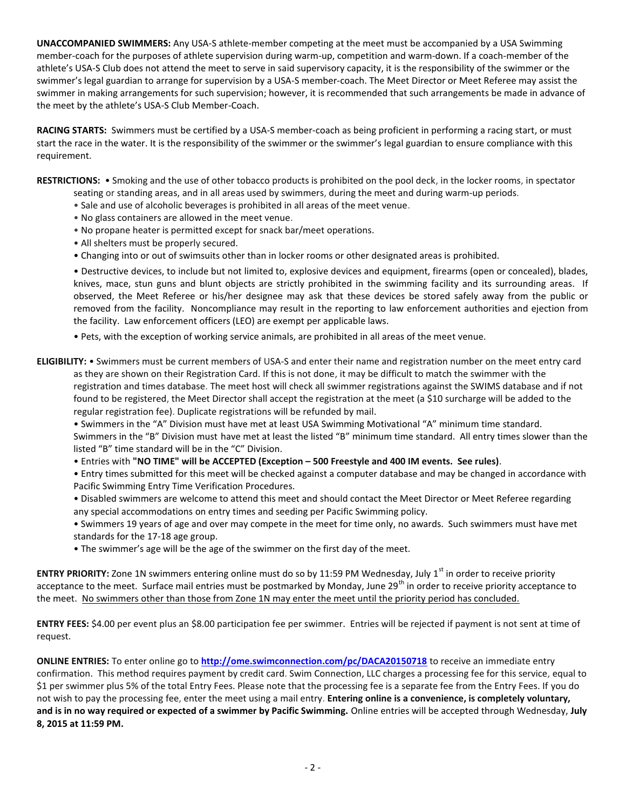**UNACCOMPANIED SWIMMERS:** Any USA-S athlete-member competing at the meet must be accompanied by a USA Swimming member-coach for the purposes of athlete supervision during warm-up, competition and warm-down. If a coach-member of the athlete's USA-S Club does not attend the meet to serve in said supervisory capacity, it is the responsibility of the swimmer or the swimmer's legal guardian to arrange for supervision by a USA-S member-coach. The Meet Director or Meet Referee may assist the swimmer in making arrangements for such supervision; however, it is recommended that such arrangements be made in advance of the meet by the athlete's USA-S Club Member-Coach.

**RACING STARTS:** Swimmers must be certified by a USA-S member-coach as being proficient in performing a racing start, or must start the race in the water. It is the responsibility of the swimmer or the swimmer's legal guardian to ensure compliance with this requirement.

**RESTRICTIONS:** • Smoking and the use of other tobacco products is prohibited on the pool deck, in the locker rooms, in spectator seating or standing areas, and in all areas used by swimmers, during the meet and during warm-up periods.

- Sale and use of alcoholic beverages is prohibited in all areas of the meet venue.
- No glass containers are allowed in the meet venue.
- No propane heater is permitted except for snack bar/meet operations.
- All shelters must be properly secured.
- Changing into or out of swimsuits other than in locker rooms or other designated areas is prohibited.

• Destructive devices, to include but not limited to, explosive devices and equipment, firearms (open or concealed), blades, knives, mace, stun guns and blunt objects are strictly prohibited in the swimming facility and its surrounding areas. If observed, the Meet Referee or his/her designee may ask that these devices be stored safely away from the public or removed from the facility. Noncompliance may result in the reporting to law enforcement authorities and ejection from the facility. Law enforcement officers (LEO) are exempt per applicable laws.

• Pets, with the exception of working service animals, are prohibited in all areas of the meet venue.

**ELIGIBILITY:** • Swimmers must be current members of USA-S and enter their name and registration number on the meet entry card as they are shown on their Registration Card. If this is not done, it may be difficult to match the swimmer with the registration and times database. The meet host will check all swimmer registrations against the SWIMS database and if not found to be registered, the Meet Director shall accept the registration at the meet (a \$10 surcharge will be added to the regular registration fee). Duplicate registrations will be refunded by mail.

• Swimmers in the "A" Division must have met at least USA Swimming Motivational "A" minimum time standard.

Swimmers in the "B" Division must have met at least the listed "B" minimum time standard. All entry times slower than the listed "B" time standard will be in the "C" Division.

• Entries with **"NO TIME" will be ACCEPTED (Exception – 500 Freestyle and 400 IM events. See rules)**.

• Entry times submitted for this meet will be checked against a computer database and may be changed in accordance with Pacific Swimming Entry Time Verification Procedures.

- Disabled swimmers are welcome to attend this meet and should contact the Meet Director or Meet Referee regarding any special accommodations on entry times and seeding per Pacific Swimming policy.
- Swimmers 19 years of age and over may compete in the meet for time only, no awards. Such swimmers must have met standards for the 17-18 age group.
- The swimmer's age will be the age of the swimmer on the first day of the meet.

**ENTRY PRIORITY:** Zone 1N swimmers entering online must do so by 11:59 PM Wednesday, July 1<sup>st</sup> in order to receive priority acceptance to the meet. Surface mail entries must be postmarked by Monday, June 29<sup>th</sup> in order to receive priority acceptance to the meet. No swimmers other than those from Zone 1N may enter the meet until the priority period has concluded.

**ENTRY FEES:** \$4.00 per event plus an \$8.00 participation fee per swimmer. Entries will be rejected if payment is not sent at time of request.

**ONLINE ENTRIES:** To enter online go to **<http://ome.swimconnection.com/pc/DACA20150718>** to receive an immediate entry confirmation. This method requires payment by credit card. Swim Connection, LLC charges a processing fee for this service, equal to \$1 per swimmer plus 5% of the total Entry Fees. Please note that the processing fee is a separate fee from the Entry Fees. If you do not wish to pay the processing fee, enter the meet using a mail entry. **Entering online is a convenience, is completely voluntary, and is in no way required or expected of a swimmer by Pacific Swimming.** Online entries will be accepted through Wednesday, **July 8, 2015 at 11:59 PM.**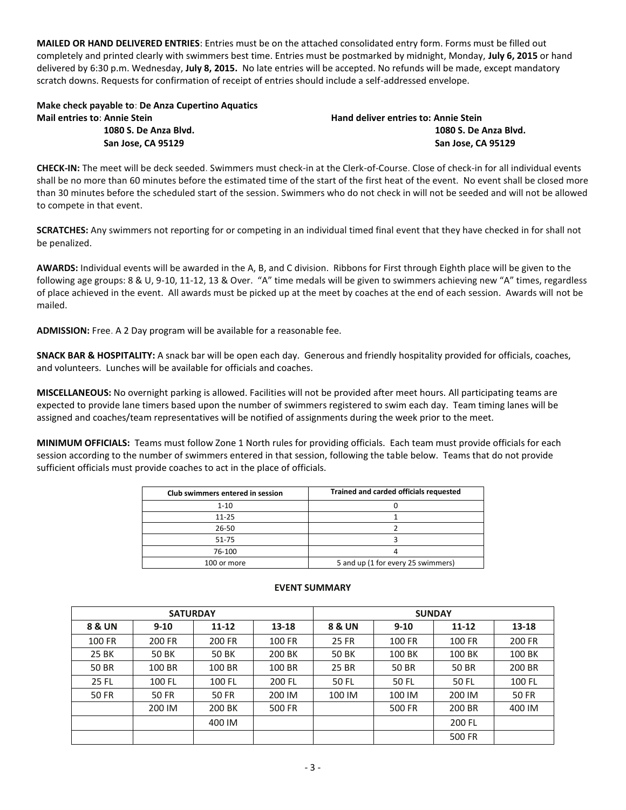**MAILED OR HAND DELIVERED ENTRIES**: Entries must be on the attached consolidated entry form. Forms must be filled out completely and printed clearly with swimmers best time. Entries must be postmarked by midnight, Monday, **July 6, 2015** or hand delivered by 6:30 p.m. Wednesday, **July 8, 2015.** No late entries will be accepted. No refunds will be made, except mandatory scratch downs. Requests for confirmation of receipt of entries should include a self-addressed envelope.

| Make check payable to: De Anza Cupertino Aquatics |                                             |
|---------------------------------------------------|---------------------------------------------|
| Mail entries to: Annie Stein                      | <b>Hand deliver entries to: Annie Stein</b> |
| 1080 S. De Anza Blvd.                             | 1080 S. De Anza Blvd.                       |
| San Jose, CA 95129                                | San Jose, CA 95129                          |

**CHECK-IN:** The meet will be deck seeded. Swimmers must check-in at the Clerk-of-Course. Close of check-in for all individual events shall be no more than 60 minutes before the estimated time of the start of the first heat of the event. No event shall be closed more than 30 minutes before the scheduled start of the session. Swimmers who do not check in will not be seeded and will not be allowed to compete in that event.

**SCRATCHES:** Any swimmers not reporting for or competing in an individual timed final event that they have checked in for shall not be penalized.

**AWARDS:** Individual events will be awarded in the A, B, and C division. Ribbons for First through Eighth place will be given to the following age groups: 8 & U, 9-10, 11-12, 13 & Over. "A" time medals will be given to swimmers achieving new "A" times, regardless of place achieved in the event. All awards must be picked up at the meet by coaches at the end of each session. Awards will not be mailed.

**ADMISSION:** Free. A 2 Day program will be available for a reasonable fee.

**SNACK BAR & HOSPITALITY:** A snack bar will be open each day. Generous and friendly hospitality provided for officials, coaches, and volunteers. Lunches will be available for officials and coaches.

**MISCELLANEOUS:** No overnight parking is allowed. Facilities will not be provided after meet hours. All participating teams are expected to provide lane timers based upon the number of swimmers registered to swim each day. Team timing lanes will be assigned and coaches/team representatives will be notified of assignments during the week prior to the meet.

**MINIMUM OFFICIALS:** Teams must follow Zone 1 North rules for providing officials. Each team must provide officials for each session according to the number of swimmers entered in that session, following the table below. Teams that do not provide sufficient officials must provide coaches to act in the place of officials.

| Club swimmers entered in session | Trained and carded officials requested |
|----------------------------------|----------------------------------------|
| $1 - 10$                         |                                        |
| $11 - 25$                        |                                        |
| 26-50                            |                                        |
| 51-75                            |                                        |
| 76-100                           |                                        |
| 100 or more                      | 5 and up (1 for every 25 swimmers)     |

|              | <b>SATURDAY</b> |           |        | <b>SUNDAY</b>     |          |           |               |  |  |
|--------------|-----------------|-----------|--------|-------------------|----------|-----------|---------------|--|--|
| 8 & UN       | $9 - 10$        | $11 - 12$ | 13-18  | <b>8 &amp; UN</b> | $9 - 10$ | $11 - 12$ | 13-18         |  |  |
| 100 FR       | 200 FR          | 200 FR    | 100 FR | 25 FR             | 100 FR   | 100 FR    | <b>200 FR</b> |  |  |
| 25 BK        | 50 BK           | 50 BK     | 200 BK | 50 BK             | 100 BK   | 100 BK    | 100 BK        |  |  |
| 50 BR        | 100 BR          | 100 BR    | 100 BR | 25 BR             | 50 BR    | 50 BR     | 200 BR        |  |  |
| 25 FL        | 100 FL          | 100 FL    | 200 FL | 50 FL             | 50 FL    | 50 FL     | 100 FL        |  |  |
| <b>50 FR</b> | <b>50 FR</b>    | 50 FR     | 200 IM | 100 IM            | 100 IM   | 200 IM    | <b>50 FR</b>  |  |  |
|              | 200 IM          | 200 BK    | 500 FR |                   | 500 FR   | 200 BR    | 400 IM        |  |  |
|              |                 | 400 IM    |        |                   |          | 200 FL    |               |  |  |
|              |                 |           |        |                   |          | 500 FR    |               |  |  |

## **EVENT SUMMARY**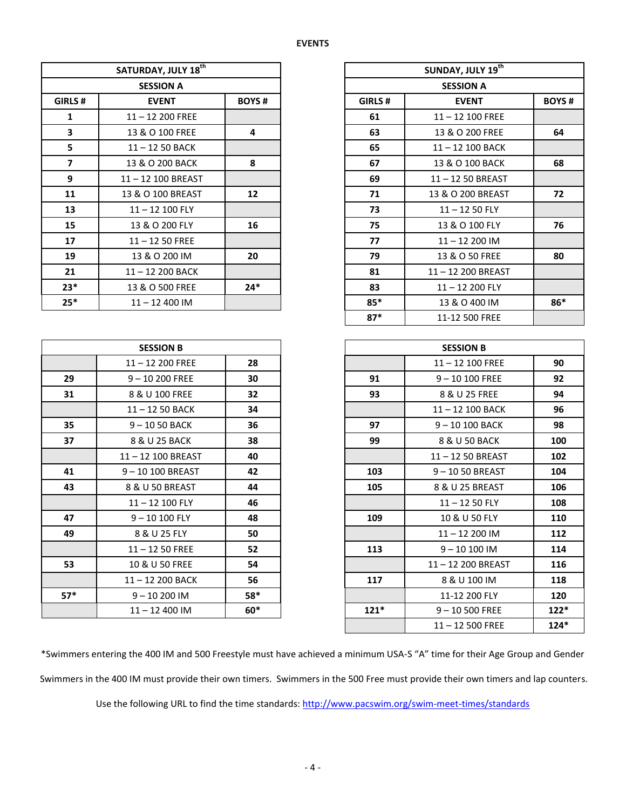**th**

Г

|                         | SATURDAY, JULY 18 <sup>th</sup> |              | SUNDAY, JULY 19th |                    |              |  |  |  |  |
|-------------------------|---------------------------------|--------------|-------------------|--------------------|--------------|--|--|--|--|
|                         | <b>SESSION A</b>                |              |                   | <b>SESSION A</b>   |              |  |  |  |  |
| GIRLS#                  | <b>EVENT</b>                    | <b>BOYS#</b> | GIRLS#            | <b>EVENT</b>       | <b>BOYS#</b> |  |  |  |  |
| $\mathbf{1}$            | $11 - 12200$ FREE               |              | 61                | $11 - 12$ 100 FREE |              |  |  |  |  |
| 3                       | 13 & O 100 FREE                 | 4            | 63                | 13 & O 200 FREE    | 64           |  |  |  |  |
| 5                       | 11-12 50 BACK                   |              | 65                | 11-12 100 BACK     |              |  |  |  |  |
| $\overline{\mathbf{z}}$ | 13 & O 200 BACK                 | 8            | 67                | 13 & O 100 BACK    | 68           |  |  |  |  |
| 9                       | 11-12 100 BREAST                |              | 69                | 11-12 50 BREAST    |              |  |  |  |  |
| 11                      | 13 & O 100 BREAST               | 12           | 71                | 13 & O 200 BREAST  | 72           |  |  |  |  |
| 13                      | 11-12 100 FLY                   |              | 73                | $11 - 1250$ FLY    |              |  |  |  |  |
| 15                      | 13 & O 200 FLY                  | 16           | 75                | 13 & O 100 FLY     | 76           |  |  |  |  |
| 17                      | $11 - 1250$ FREE                |              | 77                | $11 - 12200$ IM    |              |  |  |  |  |
| 19                      | 13 & O 200 IM                   | 20           | 79                | 13 & O 50 FREE     | 80           |  |  |  |  |
| 21                      | 11-12 200 BACK                  |              | 81                | 11-12 200 BREAST   |              |  |  |  |  |
| $23*$                   | 13 & O 500 FREE                 | $24*$        | 83                | 11-12 200 FLY      |              |  |  |  |  |
| $25*$                   | $11 - 12400$ IM                 |              | $85*$             | 13 & O 400 IM      | $86*$        |  |  |  |  |
|                         |                                 |              | $87*$             | 11-12 500 FREE     |              |  |  |  |  |
|                         |                                 |              |                   |                    |              |  |  |  |  |
|                         | <b>SESSION B</b>                |              |                   | <b>SESSION B</b>   |              |  |  |  |  |
|                         | $11 - 12200$ FREE               | 28           |                   | $11 - 12$ 100 FREE | 90           |  |  |  |  |
| 29                      | $9 - 10200$ FREE                | 30           | 91                | $9 - 10100$ FREE   | 92           |  |  |  |  |
| 31                      | 8 & U 100 FREE                  | 32           | 93                | 8 & U 25 FREE      | 94           |  |  |  |  |
|                         | 11-12 50 BACK                   | 34           |                   | 11-12 100 BACK     | 96           |  |  |  |  |
| 35                      | 9-1050 BACK                     | 36           | 97                | 9-10 100 BACK      | 98           |  |  |  |  |
| 37                      | 8 & U 25 BACK                   | 38           | 99                | 8 & U 50 BACK      | 100          |  |  |  |  |
|                         | 11-12 100 BREAST                | 40           |                   | 11-12 50 BREAST    | 102          |  |  |  |  |
| 41                      | 9-10 100 BREAST                 | 42           | 103               | 9-1050 BREAST      | 104          |  |  |  |  |
| 43                      | 8 & U 50 BREAST                 | 44           | 105               | 8 & U 25 BREAST    | 106          |  |  |  |  |
|                         | 11-12 100 FLY                   | 46           |                   | $11 - 1250$ FLY    | 108          |  |  |  |  |
| 47                      | $9 - 10100$ FLY                 | 48           | 109               | 10 & U 50 FLY      | 110          |  |  |  |  |
| 49                      | 8 & U 25 FLY                    | 50           |                   | $11 - 12200$ IM    | 112          |  |  |  |  |
|                         | $11 - 1250$ FREE                | 52           | 113               | $9 - 10100$ IM     | 114          |  |  |  |  |
| 53                      | 10 & U 50 FREE                  | 54           |                   | 11-12 200 BREAST   | 116          |  |  |  |  |
|                         | 11-12 200 BACK                  | 56           | 117               | 8 & U 100 IM       | 118          |  |  |  |  |
| $57*$                   | $9 - 10200$ IM                  | 58*          |                   | 11-12 200 FLY      | 120          |  |  |  |  |
|                         |                                 |              | $121*$            | $9 - 10500$ FREE   |              |  |  |  |  |

\*Swimmers entering the 400 IM and 500 Freestyle must have achieved a minimum USA-S "A" time for their Age Group and Gender Swimmers in the 400 IM must provide their own timers. Swimmers in the 500 Free must provide their own timers and lap counters.

– 12 500 FREE **124\***

Use the following URL to find the time standards:<http://www.pacswim.org/swim-meet-times/standards>